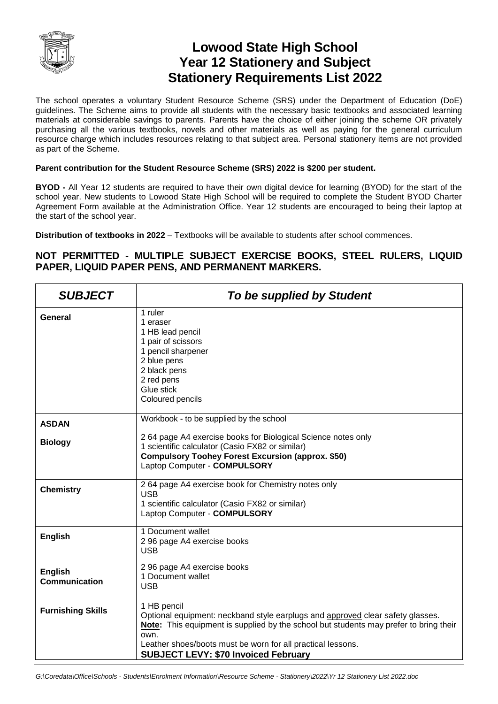

## **Lowood State High School Year 12 Stationery and Subject Stationery Requirements List 2022**

The school operates a voluntary Student Resource Scheme (SRS) under the Department of Education (DoE) guidelines. The Scheme aims to provide all students with the necessary basic textbooks and associated learning materials at considerable savings to parents. Parents have the choice of either joining the scheme OR privately purchasing all the various textbooks, novels and other materials as well as paying for the general curriculum resource charge which includes resources relating to that subject area. Personal stationery items are not provided as part of the Scheme.

## **Parent contribution for the Student Resource Scheme (SRS) 2022 is \$200 per student.**

**BYOD -** All Year 12 students are required to have their own digital device for learning (BYOD) for the start of the school year. New students to Lowood State High School will be required to complete the Student BYOD Charter Agreement Form available at the Administration Office. Year 12 students are encouraged to being their laptop at the start of the school year.

**Distribution of textbooks in 2022** – Textbooks will be available to students after school commences.

## **NOT PERMITTED - MULTIPLE SUBJECT EXERCISE BOOKS, STEEL RULERS, LIQUID PAPER, LIQUID PAPER PENS, AND PERMANENT MARKERS.**

| <b>SUBJECT</b>                         | To be supplied by Student                                                                                                                                                                                                                                                                                    |
|----------------------------------------|--------------------------------------------------------------------------------------------------------------------------------------------------------------------------------------------------------------------------------------------------------------------------------------------------------------|
| General                                | 1 ruler<br>1 eraser<br>1 HB lead pencil<br>1 pair of scissors<br>1 pencil sharpener<br>2 blue pens<br>2 black pens<br>2 red pens<br>Glue stick<br>Coloured pencils                                                                                                                                           |
| <b>ASDAN</b>                           | Workbook - to be supplied by the school                                                                                                                                                                                                                                                                      |
| <b>Biology</b>                         | 2 64 page A4 exercise books for Biological Science notes only<br>1 scientific calculator (Casio FX82 or similar)<br><b>Compulsory Toohey Forest Excursion (approx. \$50)</b><br>Laptop Computer - COMPULSORY                                                                                                 |
| <b>Chemistry</b>                       | 2 64 page A4 exercise book for Chemistry notes only<br><b>USB</b><br>1 scientific calculator (Casio FX82 or similar)<br>Laptop Computer - COMPULSORY                                                                                                                                                         |
| <b>English</b>                         | 1 Document wallet<br>2 96 page A4 exercise books<br><b>USB</b>                                                                                                                                                                                                                                               |
| <b>English</b><br><b>Communication</b> | 2 96 page A4 exercise books<br>1 Document wallet<br><b>USB</b>                                                                                                                                                                                                                                               |
| <b>Furnishing Skills</b>               | 1 HB pencil<br>Optional equipment: neckband style earplugs and approved clear safety glasses.<br>Note: This equipment is supplied by the school but students may prefer to bring their<br>own.<br>Leather shoes/boots must be worn for all practical lessons.<br><b>SUBJECT LEVY: \$70 Invoiced February</b> |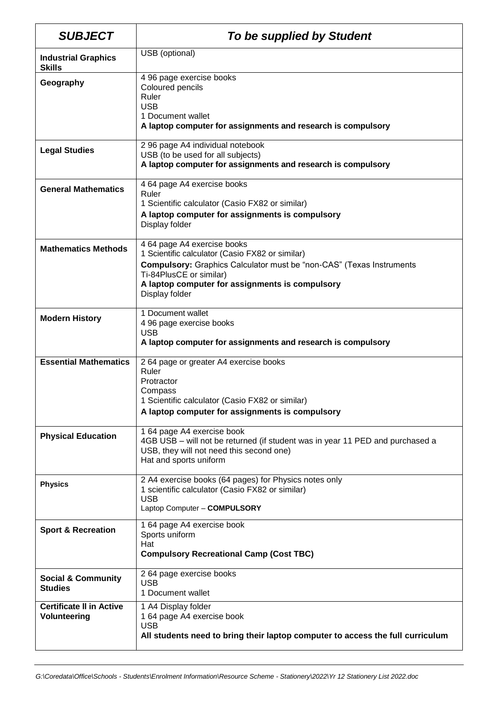| <b>SUBJECT</b>                                  | To be supplied by Student                                                                                                                                                                                                                                     |
|-------------------------------------------------|---------------------------------------------------------------------------------------------------------------------------------------------------------------------------------------------------------------------------------------------------------------|
| <b>Industrial Graphics</b><br><b>Skills</b>     | USB (optional)                                                                                                                                                                                                                                                |
| Geography                                       | 4 96 page exercise books<br>Coloured pencils<br>Ruler<br><b>USB</b><br>1 Document wallet<br>A laptop computer for assignments and research is compulsory                                                                                                      |
| <b>Legal Studies</b>                            | 2 96 page A4 individual notebook<br>USB (to be used for all subjects)<br>A laptop computer for assignments and research is compulsory                                                                                                                         |
| <b>General Mathematics</b>                      | 4 64 page A4 exercise books<br>Ruler<br>1 Scientific calculator (Casio FX82 or similar)<br>A laptop computer for assignments is compulsory<br>Display folder                                                                                                  |
| <b>Mathematics Methods</b>                      | 4 64 page A4 exercise books<br>1 Scientific calculator (Casio FX82 or similar)<br><b>Compulsory:</b> Graphics Calculator must be "non-CAS" (Texas Instruments<br>Ti-84PlusCE or similar)<br>A laptop computer for assignments is compulsory<br>Display folder |
| <b>Modern History</b>                           | 1 Document wallet<br>4 96 page exercise books<br><b>USB</b><br>A laptop computer for assignments and research is compulsory                                                                                                                                   |
| <b>Essential Mathematics</b>                    | 2 64 page or greater A4 exercise books<br>Ruler<br>Protractor<br>Compass<br>1 Scientific calculator (Casio FX82 or similar)<br>A laptop computer for assignments is compulsory                                                                                |
| <b>Physical Education</b>                       | 1 64 page A4 exercise book<br>4GB USB - will not be returned (if student was in year 11 PED and purchased a<br>USB, they will not need this second one)<br>Hat and sports uniform                                                                             |
| <b>Physics</b>                                  | 2 A4 exercise books (64 pages) for Physics notes only<br>1 scientific calculator (Casio FX82 or similar)<br><b>USB</b><br>Laptop Computer - COMPULSORY                                                                                                        |
| <b>Sport &amp; Recreation</b>                   | 1 64 page A4 exercise book<br>Sports uniform<br>Hat<br><b>Compulsory Recreational Camp (Cost TBC)</b>                                                                                                                                                         |
| <b>Social &amp; Community</b><br><b>Studies</b> | 2 64 page exercise books<br><b>USB</b><br>1 Document wallet                                                                                                                                                                                                   |
| <b>Certificate II in Active</b><br>Volunteering | 1 A4 Display folder<br>1 64 page A4 exercise book<br><b>USB</b><br>All students need to bring their laptop computer to access the full curriculum                                                                                                             |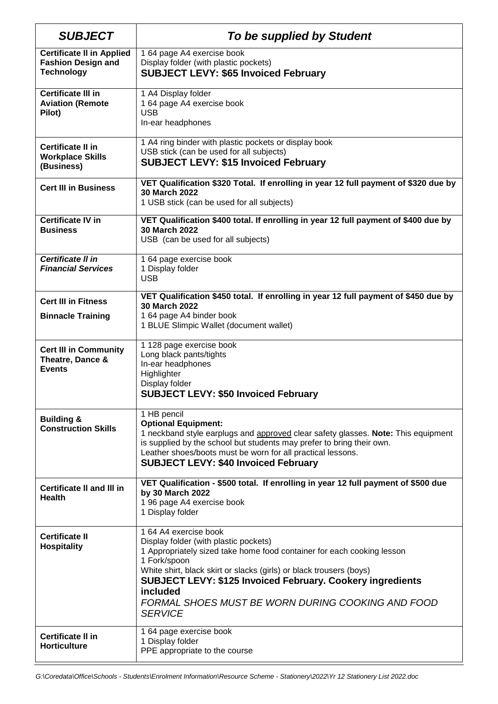| <b>SUBJECT</b>                                                                     | To be supplied by Student                                                                                                                                                                                                                                                                                                                                                               |
|------------------------------------------------------------------------------------|-----------------------------------------------------------------------------------------------------------------------------------------------------------------------------------------------------------------------------------------------------------------------------------------------------------------------------------------------------------------------------------------|
| <b>Certificate II in Applied</b><br><b>Fashion Design and</b><br><b>Technology</b> | 1 64 page A4 exercise book<br>Display folder (with plastic pockets)<br><b>SUBJECT LEVY: \$65 Invoiced February</b>                                                                                                                                                                                                                                                                      |
| <b>Certificate III in</b><br><b>Aviation (Remote</b><br>Pilot)                     | 1 A4 Display folder<br>1 64 page A4 exercise book<br><b>USB</b><br>In-ear headphones                                                                                                                                                                                                                                                                                                    |
| <b>Certificate II in</b><br><b>Workplace Skills</b><br>(Business)                  | 1 A4 ring binder with plastic pockets or display book<br>USB stick (can be used for all subjects)<br><b>SUBJECT LEVY: \$15 Invoiced February</b>                                                                                                                                                                                                                                        |
| <b>Cert III in Business</b>                                                        | VET Qualification \$320 Total. If enrolling in year 12 full payment of \$320 due by<br>30 March 2022<br>1 USB stick (can be used for all subjects)                                                                                                                                                                                                                                      |
| <b>Certificate IV in</b><br><b>Business</b>                                        | VET Qualification \$400 total. If enrolling in year 12 full payment of \$400 due by<br>30 March 2022<br>USB (can be used for all subjects)                                                                                                                                                                                                                                              |
| Certificate II in<br><b>Financial Services</b>                                     | 1 64 page exercise book<br>1 Display folder<br><b>USB</b>                                                                                                                                                                                                                                                                                                                               |
| <b>Cert III in Fitness</b><br><b>Binnacle Training</b>                             | VET Qualification \$450 total. If enrolling in year 12 full payment of \$450 due by<br>30 March 2022<br>1 64 page A4 binder book<br>1 BLUE Slimpic Wallet (document wallet)                                                                                                                                                                                                             |
| <b>Cert III in Community</b><br>Theatre, Dance &<br><b>Events</b>                  | 1 128 page exercise book<br>Long black pants/tights<br>In-ear headphones<br>Highlighter<br>Display folder<br><b>SUBJECT LEVY: \$50 Invoiced February</b>                                                                                                                                                                                                                                |
| <b>Building &amp;</b><br><b>Construction Skills</b>                                | 1 HB pencil<br><b>Optional Equipment:</b><br>1 neckband style earplugs and approved clear safety glasses. Note: This equipment<br>is supplied by the school but students may prefer to bring their own.<br>Leather shoes/boots must be worn for all practical lessons.<br><b>SUBJECT LEVY: \$40 Invoiced February</b>                                                                   |
| <b>Certificate II and III in</b><br><b>Health</b>                                  | VET Qualification - \$500 total. If enrolling in year 12 full payment of \$500 due<br>by 30 March 2022<br>1 96 page A4 exercise book<br>1 Display folder                                                                                                                                                                                                                                |
| <b>Certificate II</b><br><b>Hospitality</b>                                        | 1 64 A4 exercise book<br>Display folder (with plastic pockets)<br>1 Appropriately sized take home food container for each cooking lesson<br>1 Fork/spoon<br>White shirt, black skirt or slacks (girls) or black trousers (boys)<br><b>SUBJECT LEVY: \$125 Invoiced February. Cookery ingredients</b><br>included<br>FORMAL SHOES MUST BE WORN DURING COOKING AND FOOD<br><b>SERVICE</b> |
| <b>Certificate II in</b><br><b>Horticulture</b>                                    | 1 64 page exercise book<br>1 Display folder<br>PPE appropriate to the course                                                                                                                                                                                                                                                                                                            |